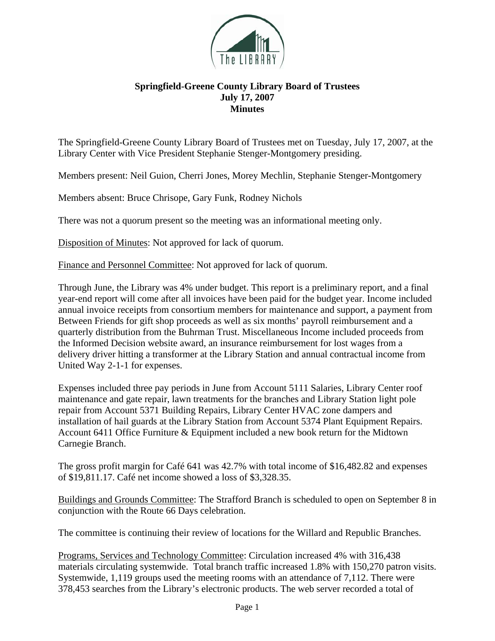

## **Springfield-Greene County Library Board of Trustees July 17, 2007 Minutes**

The Springfield-Greene County Library Board of Trustees met on Tuesday, July 17, 2007, at the Library Center with Vice President Stephanie Stenger-Montgomery presiding.

Members present: Neil Guion, Cherri Jones, Morey Mechlin, Stephanie Stenger-Montgomery

Members absent: Bruce Chrisope, Gary Funk, Rodney Nichols

There was not a quorum present so the meeting was an informational meeting only.

Disposition of Minutes: Not approved for lack of quorum.

Finance and Personnel Committee: Not approved for lack of quorum.

Through June, the Library was 4% under budget. This report is a preliminary report, and a final year-end report will come after all invoices have been paid for the budget year. Income included annual invoice receipts from consortium members for maintenance and support, a payment from Between Friends for gift shop proceeds as well as six months' payroll reimbursement and a quarterly distribution from the Buhrman Trust. Miscellaneous Income included proceeds from the Informed Decision website award, an insurance reimbursement for lost wages from a delivery driver hitting a transformer at the Library Station and annual contractual income from United Way 2-1-1 for expenses.

Expenses included three pay periods in June from Account 5111 Salaries, Library Center roof maintenance and gate repair, lawn treatments for the branches and Library Station light pole repair from Account 5371 Building Repairs, Library Center HVAC zone dampers and installation of hail guards at the Library Station from Account 5374 Plant Equipment Repairs. Account 6411 Office Furniture & Equipment included a new book return for the Midtown Carnegie Branch.

The gross profit margin for Café 641 was 42.7% with total income of \$16,482.82 and expenses of \$19,811.17. Café net income showed a loss of \$3,328.35.

Buildings and Grounds Committee: The Strafford Branch is scheduled to open on September 8 in conjunction with the Route 66 Days celebration.

The committee is continuing their review of locations for the Willard and Republic Branches.

Programs, Services and Technology Committee: Circulation increased 4% with 316,438 materials circulating systemwide. Total branch traffic increased 1.8% with 150,270 patron visits. Systemwide, 1,119 groups used the meeting rooms with an attendance of 7,112. There were 378,453 searches from the Library's electronic products. The web server recorded a total of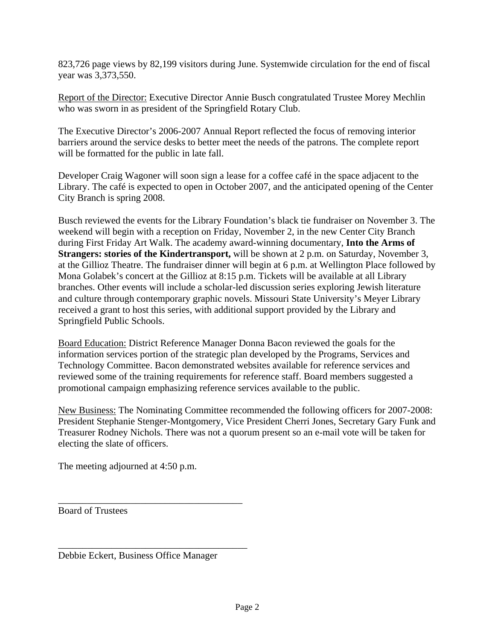823,726 page views by 82,199 visitors during June. Systemwide circulation for the end of fiscal year was 3,373,550.

Report of the Director: Executive Director Annie Busch congratulated Trustee Morey Mechlin who was sworn in as president of the Springfield Rotary Club.

The Executive Director's 2006-2007 Annual Report reflected the focus of removing interior barriers around the service desks to better meet the needs of the patrons. The complete report will be formatted for the public in late fall.

Developer Craig Wagoner will soon sign a lease for a coffee café in the space adjacent to the Library. The café is expected to open in October 2007, and the anticipated opening of the Center City Branch is spring 2008.

Busch reviewed the events for the Library Foundation's black tie fundraiser on November 3. The weekend will begin with a reception on Friday, November 2, in the new Center City Branch during First Friday Art Walk. The academy award-winning documentary, **Into the Arms of Strangers: stories of the Kindertransport,** will be shown at 2 p.m. on Saturday, November 3, at the Gillioz Theatre. The fundraiser dinner will begin at 6 p.m. at Wellington Place followed by Mona Golabek's concert at the Gillioz at 8:15 p.m. Tickets will be available at all Library branches. Other events will include a scholar-led discussion series exploring Jewish literature and culture through contemporary graphic novels. Missouri State University's Meyer Library received a grant to host this series, with additional support provided by the Library and Springfield Public Schools.

Board Education: District Reference Manager Donna Bacon reviewed the goals for the information services portion of the strategic plan developed by the Programs, Services and Technology Committee. Bacon demonstrated websites available for reference services and reviewed some of the training requirements for reference staff. Board members suggested a promotional campaign emphasizing reference services available to the public.

New Business: The Nominating Committee recommended the following officers for 2007-2008: President Stephanie Stenger-Montgomery, Vice President Cherri Jones, Secretary Gary Funk and Treasurer Rodney Nichols. There was not a quorum present so an e-mail vote will be taken for electing the slate of officers.

The meeting adjourned at 4:50 p.m.

Board of Trustees

Debbie Eckert, Business Office Manager

\_\_\_\_\_\_\_\_\_\_\_\_\_\_\_\_\_\_\_\_\_\_\_\_\_\_\_\_\_\_\_\_\_\_\_\_\_\_

\_\_\_\_\_\_\_\_\_\_\_\_\_\_\_\_\_\_\_\_\_\_\_\_\_\_\_\_\_\_\_\_\_\_\_\_\_\_\_